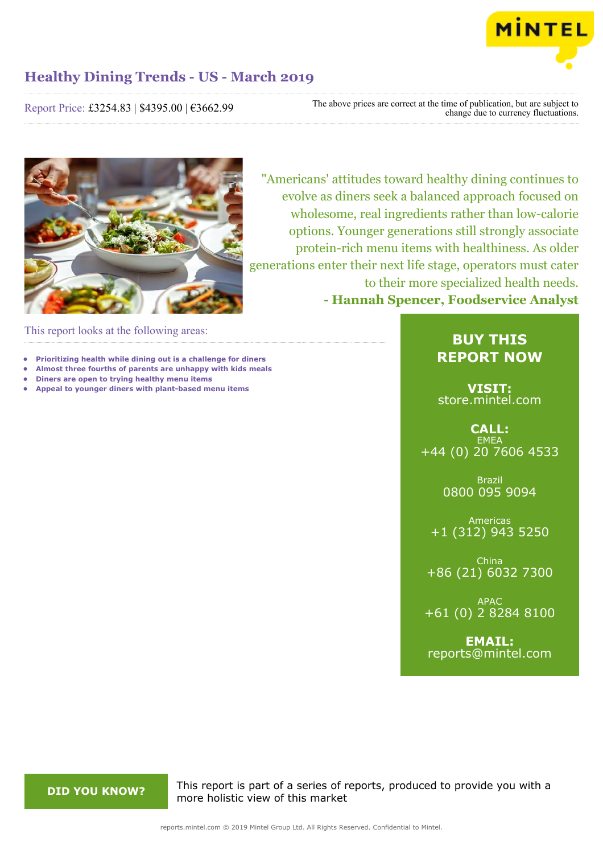

Report Price: £3254.83 | \$4395.00 | €3662.99

The above prices are correct at the time of publication, but are subject to change due to currency fluctuations.



"Americans' attitudes toward healthy dining continues to evolve as diners seek a balanced approach focused on wholesome, real ingredients rather than low-calorie options. Younger generations still strongly associate protein-rich menu items with healthiness. As older generations enter their next life stage, operators must cater to their more specialized health needs. **- Hannah Spencer, Foodservice Analyst**

This report looks at the following areas:

- **• Prioritizing health while dining out is a challenge for diners**
- **• Almost three fourths of parents are unhappy with kids meals**
- **• Diners are open to trying healthy menu items**
- **• Appeal to younger diners with plant-based menu items**

### **BUY THIS REPORT NOW**

**VISIT:** [store.mintel.com](http://reports.mintel.com//display/store/919360/)

**CALL: EMEA** +44 (0) 20 7606 4533

> Brazil 0800 095 9094

Americas +1 (312) 943 5250

China +86 (21) 6032 7300

APAC +61 (0) 2 8284 8100

**EMAIL:** [reports@mintel.com](mailto:reports@mintel.com)

**DID YOU KNOW?** This report is part of a series of reports, produced to provide you with a more holistic view of this market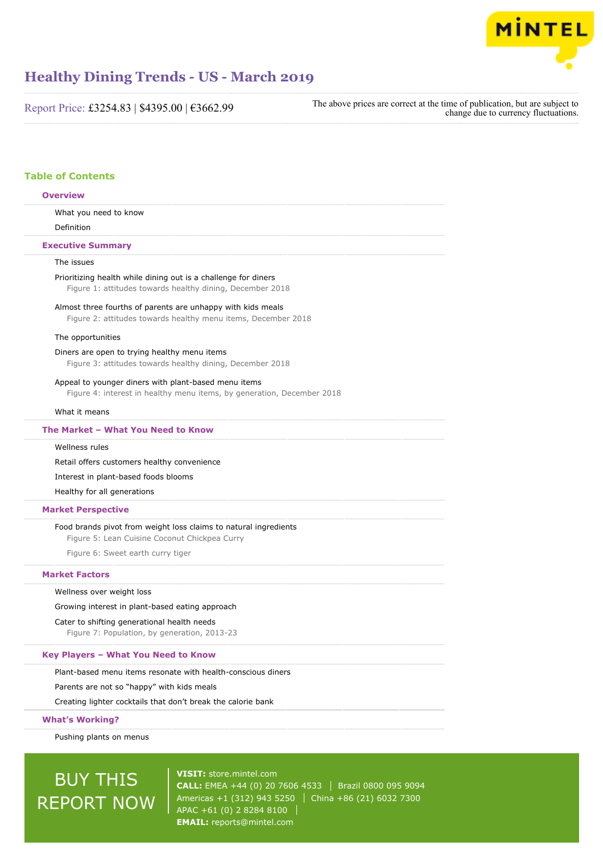

Report Price: £3254.83 | \$4395.00 | €3662.99

The above prices are correct at the time of publication, but are subject to change due to currency fluctuations.

### **Table of Contents**

### What you need to know Definition The issues Prioritizing health while dining out is a challenge for diners Figure 1: attitudes towards healthy dining, December 2018 Almost three fourths of parents are unhappy with kids meals Figure 2: attitudes towards healthy menu items, December 2018 The opportunities Diners are open to trying healthy menu items Figure 3: attitudes towards healthy dining, December 2018 Appeal to younger diners with plant-based menu items Figure 4: interest in healthy menu items, by generation, December 2018 What it means Wellness rules Retail offers customers healthy convenience Interest in plant-based foods blooms Healthy for all generations Food brands pivot from weight loss claims to natural ingredients Figure 5: Lean Cuisine Coconut Chickpea Curry Figure 6: Sweet earth curry tiger Wellness over weight loss Growing interest in plant-based eating approach Cater to shifting generational health needs Figure 7: Population, by generation, 2013-23 Plant-based menu items resonate with health-conscious diners Parents are not so "happy" with kids meals Creating lighter cocktails that don't break the calorie bank Pushing plants on menus **Overview Executive Summary The Market – What You Need to Know Market Perspective Market Factors Key Players – What You Need to Know What's Working?**

# BUY THIS REPORT NOW

**VISIT:** [store.mintel.com](http://reports.mintel.com//display/store/919360/) **CALL:** EMEA +44 (0) 20 7606 4533 | Brazil 0800 095 9094 Americas +1 (312) 943 5250 | China +86 (21) 6032 7300 APAC +61 (0) 2 8284 8100 **EMAIL:** [reports@mintel.com](mailto:reports@mintel.com)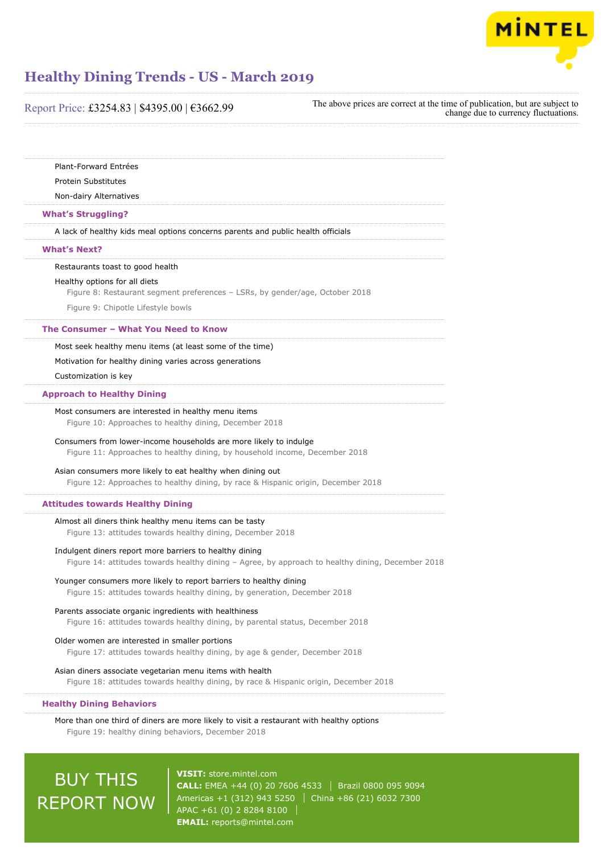

| Report Price: £3254.83   \$4395.00   €3662.99                                                                                                                | The above prices are correct at the time of publication, but are subject to<br>change due to currency fluctuations. |  |
|--------------------------------------------------------------------------------------------------------------------------------------------------------------|---------------------------------------------------------------------------------------------------------------------|--|
|                                                                                                                                                              |                                                                                                                     |  |
| Plant-Forward Entrées                                                                                                                                        |                                                                                                                     |  |
| <b>Protein Substitutes</b>                                                                                                                                   |                                                                                                                     |  |
| Non-dairy Alternatives                                                                                                                                       |                                                                                                                     |  |
| <b>What's Struggling?</b>                                                                                                                                    |                                                                                                                     |  |
| A lack of healthy kids meal options concerns parents and public health officials                                                                             |                                                                                                                     |  |
| <b>What's Next?</b>                                                                                                                                          |                                                                                                                     |  |
| Restaurants toast to good health                                                                                                                             |                                                                                                                     |  |
| Healthy options for all diets<br>Figure 8: Restaurant segment preferences - LSRs, by gender/age, October 2018                                                |                                                                                                                     |  |
| Figure 9: Chipotle Lifestyle bowls                                                                                                                           |                                                                                                                     |  |
| The Consumer - What You Need to Know                                                                                                                         |                                                                                                                     |  |
| Most seek healthy menu items (at least some of the time)                                                                                                     |                                                                                                                     |  |
| Motivation for healthy dining varies across generations                                                                                                      |                                                                                                                     |  |
| Customization is key                                                                                                                                         |                                                                                                                     |  |
| <b>Approach to Healthy Dining</b>                                                                                                                            |                                                                                                                     |  |
| Most consumers are interested in healthy menu items<br>Figure 10: Approaches to healthy dining, December 2018                                                |                                                                                                                     |  |
| Consumers from lower-income households are more likely to indulge<br>Figure 11: Approaches to healthy dining, by household income, December 2018             |                                                                                                                     |  |
| Asian consumers more likely to eat healthy when dining out<br>Figure 12: Approaches to healthy dining, by race & Hispanic origin, December 2018              |                                                                                                                     |  |
| <b>Attitudes towards Healthy Dining</b>                                                                                                                      |                                                                                                                     |  |
| Almost all diners think healthy menu items can be tasty<br>Figure 13: attitudes towards healthy dining, December 2018                                        |                                                                                                                     |  |
| Indulgent diners report more barriers to healthy dining<br>Figure 14: attitudes towards healthy dining - Agree, by approach to healthy dining, December 2018 |                                                                                                                     |  |
| Younger consumers more likely to report barriers to healthy dining<br>Figure 15: attitudes towards healthy dining, by generation, December 2018              |                                                                                                                     |  |
| Parents associate organic ingredients with healthiness<br>Figure 16: attitudes towards healthy dining, by parental status, December 2018                     |                                                                                                                     |  |
| Older women are interested in smaller portions<br>Figure 17: attitudes towards healthy dining, by age & gender, December 2018                                |                                                                                                                     |  |
| Asian diners associate vegetarian menu items with health<br>Figure 18: attitudes towards healthy dining, by race & Hispanic origin, December 2018            |                                                                                                                     |  |
| <b>Healthy Dining Behaviors</b>                                                                                                                              |                                                                                                                     |  |
| More than one third of diners are more likely to visit a restaurant with healthy options<br>Figure 19: healthy dining behaviors, December 2018               |                                                                                                                     |  |
|                                                                                                                                                              |                                                                                                                     |  |

BUY THIS REPORT NOW

**VISIT:** [store.mintel.com](http://reports.mintel.com//display/store/919360/) **CALL:** EMEA +44 (0) 20 7606 4533 | Brazil 0800 095 9094 Americas +1 (312) 943 5250 China +86 (21) 6032 7300 APAC +61 (0) 2 8284 8100 **EMAIL:** [reports@mintel.com](mailto:reports@mintel.com)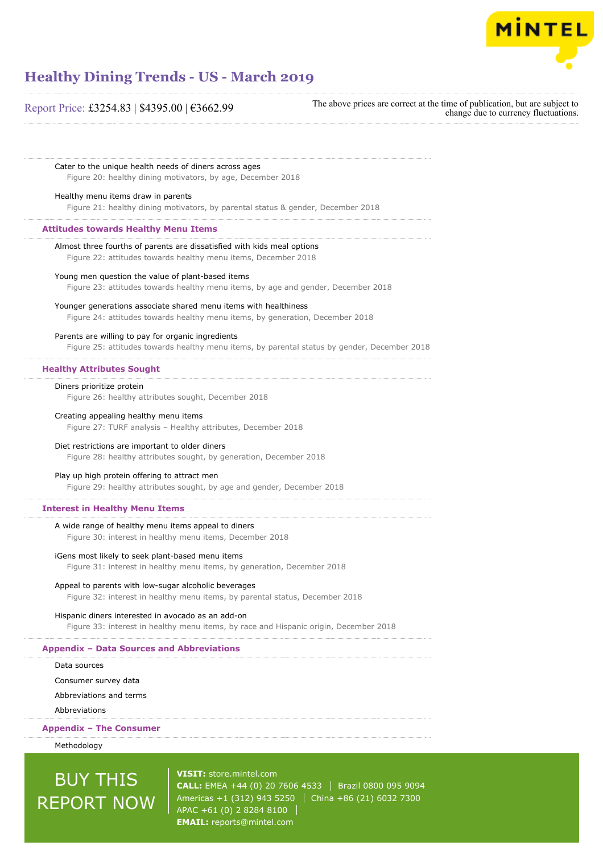

### Report Price: £3254.83 | \$4395.00 | €3662.99

The above prices are correct at the time of publication, but are subject to change due to currency fluctuations.

Cater to the unique health needs of diners across ages

Figure 20: healthy dining motivators, by age, December 2018

#### Healthy menu items draw in parents

Figure 21: healthy dining motivators, by parental status & gender, December 2018

#### **Attitudes towards Healthy Menu Items**

Almost three fourths of parents are dissatisfied with kids meal options Figure 22: attitudes towards healthy menu items, December 2018

#### Young men question the value of plant-based items

Figure 23: attitudes towards healthy menu items, by age and gender, December 2018

Younger generations associate shared menu items with healthiness Figure 24: attitudes towards healthy menu items, by generation, December 2018

#### Parents are willing to pay for organic ingredients

Figure 25: attitudes towards healthy menu items, by parental status by gender, December 2018

#### **Healthy Attributes Sought**

Diners prioritize protein

Figure 26: healthy attributes sought, December 2018

#### Creating appealing healthy menu items

Figure 27: TURF analysis – Healthy attributes, December 2018

#### Diet restrictions are important to older diners

Figure 28: healthy attributes sought, by generation, December 2018

#### Play up high protein offering to attract men

Figure 29: healthy attributes sought, by age and gender, December 2018

#### **Interest in Healthy Menu Items**

#### A wide range of healthy menu items appeal to diners

Figure 30: interest in healthy menu items, December 2018

#### iGens most likely to seek plant-based menu items

Figure 31: interest in healthy menu items, by generation, December 2018

### Appeal to parents with low-sugar alcoholic beverages

Figure 32: interest in healthy menu items, by parental status, December 2018

#### Hispanic diners interested in avocado as an add-on

Figure 33: interest in healthy menu items, by race and Hispanic origin, December 2018

#### **Appendix – Data Sources and Abbreviations**

Data sources

Consumer survey data

Abbreviations and terms

Abbreviations

#### **Appendix – The Consumer**

Methodology

# BUY THIS REPORT NOW

**VISIT:** [store.mintel.com](http://reports.mintel.com//display/store/919360/) **CALL:** EMEA +44 (0) 20 7606 4533 | Brazil 0800 095 9094 Americas +1 (312) 943 5250 | China +86 (21) 6032 7300 APAC +61 (0) 2 8284 8100 **EMAIL:** [reports@mintel.com](mailto:reports@mintel.com)